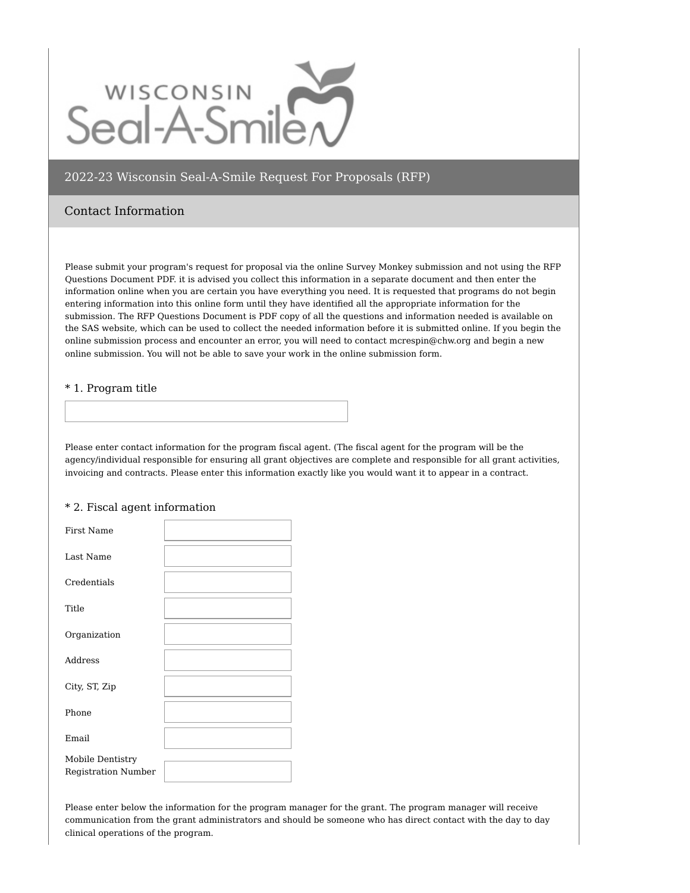#### 2022-23 Wisconsin Seal-A-Smile Request For Proposals (RFP)

### Contact Information

Please submit your program's request for proposal via the online Survey Monkey submission and not using the RFP Questions Document PDF. it is advised you collect this information in a separate document and then enter the information online when you are certain you have everything you need. It is requested that programs do not begin entering information into this online form until they have identified all the appropriate information for the submission. The RFP Questions Document is PDF copy of all the questions and information needed is available on the SAS website, which can be used to collect the needed information before it is submitted online. If you begin the online submission process and encounter an error, you will need to contact mcrespin@chw.org and begin a new online submission. You will not be able to save your work in the online submission form.

#### \* 1. Program title

Please enter contact information for the program fiscal agent. (The fiscal agent for the program will be the agency/individual responsible for ensuring all grant objectives are complete and responsible for all grant activities, invoicing and contracts. Please enter this information exactly like you would want it to appear in a contract.

#### \* 2. Fiscal agent information

| First Name                                     |  |
|------------------------------------------------|--|
| Last Name                                      |  |
| Credentials                                    |  |
| Title                                          |  |
| Organization                                   |  |
| Address                                        |  |
| City, ST, Zip                                  |  |
| Phone                                          |  |
| Email                                          |  |
| Mobile Dentistry<br><b>Registration Number</b> |  |

Please enter below the information for the program manager for the grant. The program manager will receive communication from the grant administrators and should be someone who has direct contact with the day to day clinical operations of the program.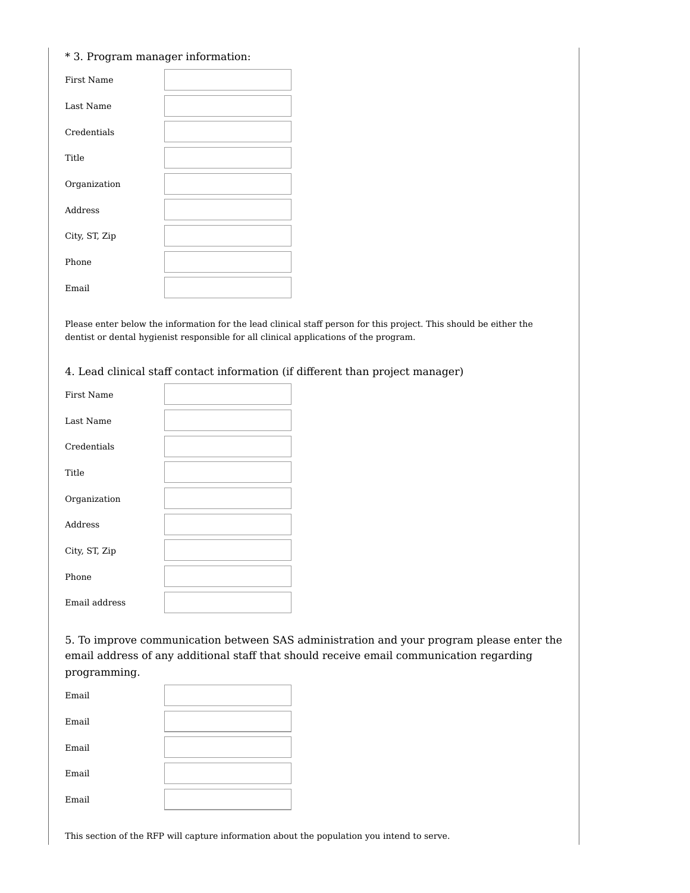#### \* 3. Program manager information:

| <b>First Name</b> |  |
|-------------------|--|
| Last Name         |  |
| Credentials       |  |
| Title             |  |
| Organization      |  |
| Address           |  |
| City, ST, Zip     |  |
| Phone             |  |
| Email             |  |

Please enter below the information for the lead clinical staff person for this project. This should be either the dentist or dental hygienist responsible for all clinical applications of the program.

4. Lead clinical staff contact information (if different than project manager)

| First Name    |  |
|---------------|--|
| Last Name     |  |
| Credentials   |  |
| Title         |  |
| Organization  |  |
| Address       |  |
| City, ST, Zip |  |
| Phone         |  |
| Email address |  |

5. To improve communication between SAS administration and your program please enter the email address of any additional staff that should receive email communication regarding programming.

| Email |  |
|-------|--|
| Email |  |
| Email |  |
| Email |  |
| Email |  |

This section of the RFP will capture information about the population you intend to serve.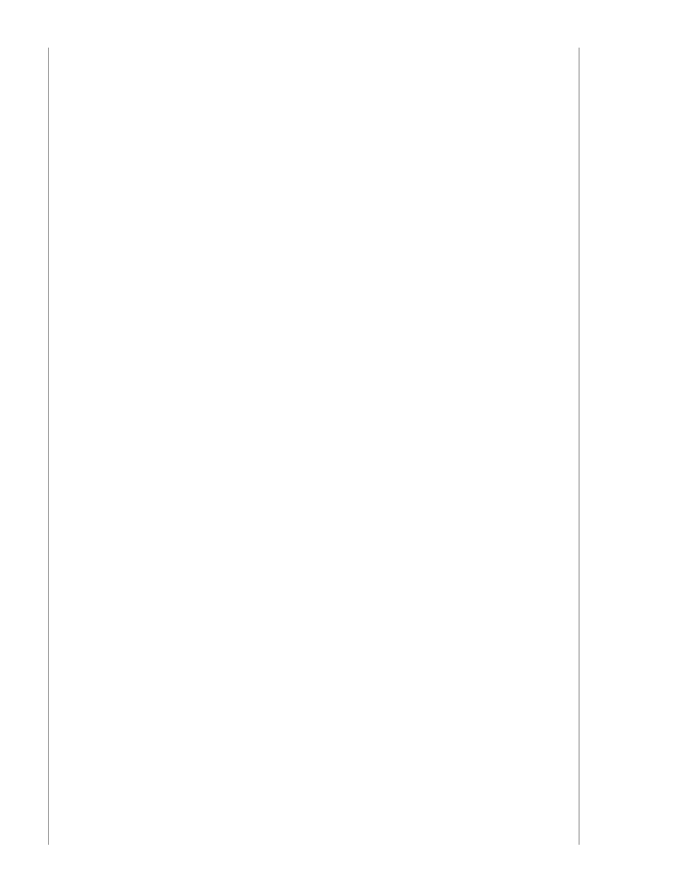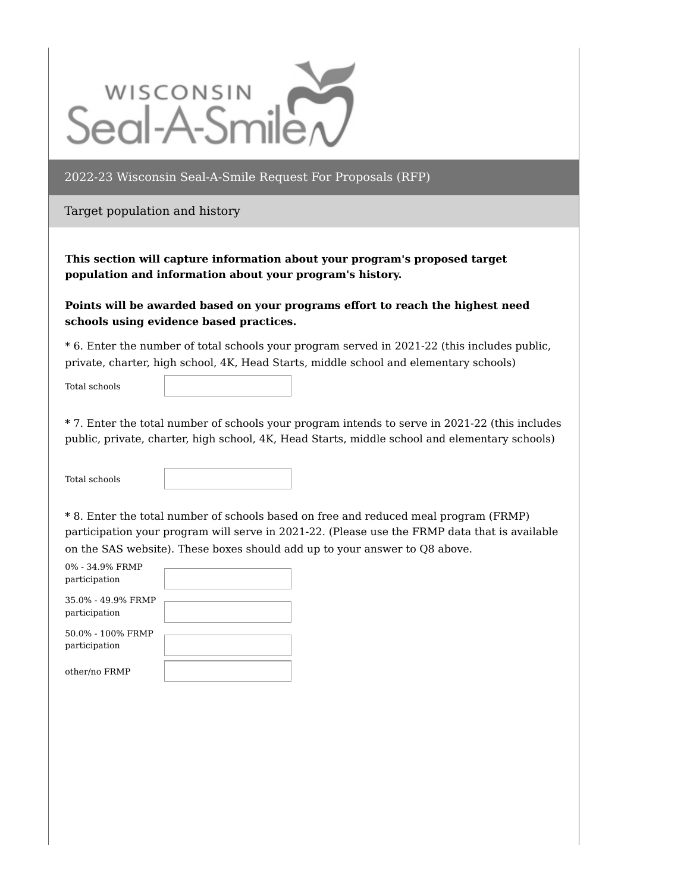2022-23 Wisconsin Seal-A-Smile Request For Proposals (RFP)

Target population and history

**This section will capture information about your program's proposed target population and information about your program's history.**

**Points will be awarded based on your programs effort to reach the highest need schools using evidence based practices.**

\* 6. Enter the number of total schools your program served in 2021-22 (this includes public, private, charter, high school, 4K, Head Starts, middle school and elementary schools)

Total schools

\* 7. Enter the total number of schools your program intends to serve in 2021-22 (this includes public, private, charter, high school, 4K, Head Starts, middle school and elementary schools)

Total schools

\* 8. Enter the total number of schools based on free and reduced meal program (FRMP) participation your program will serve in 2021-22. (Please use the FRMP data that is available on the SAS website). These boxes should add up to your answer to Q8 above.

| 0% - 34.9% FRMP<br>participation    |  |
|-------------------------------------|--|
| 35.0% - 49.9% FRMP<br>participation |  |
| 50.0% - 100% FRMP<br>participation  |  |
| other/no FRMP                       |  |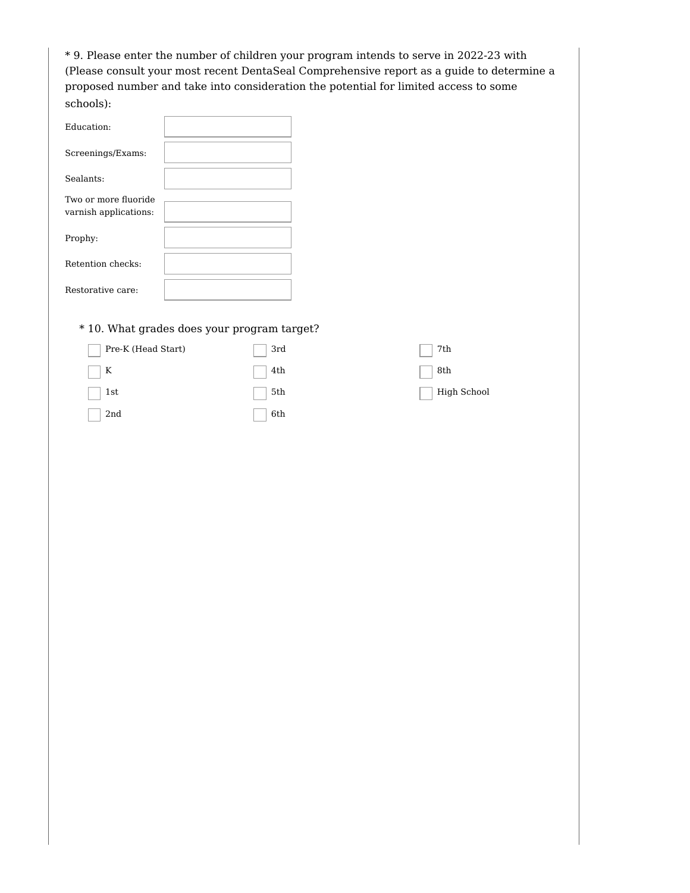\* 9. Please enter the number of children your program intends to serve in 2022-23 with (Please consult your most recent DentaSeal Comprehensive report as a guide to determine a proposed number and take into consideration the potential for limited access to some schools):

| Education:                                    |  |
|-----------------------------------------------|--|
| Screenings/Exams:                             |  |
| Sealants:                                     |  |
| Two or more fluoride<br>varnish applications: |  |
| Prophy:                                       |  |
| Retention checks:                             |  |
| Restorative care:                             |  |

### \* 10. What grades does your program target?

| Pre-K (Head Start) | 3rd |
|--------------------|-----|
| $\mid K$           | 4th |
| 1st                | 5th |
| 2nd                | 6th |

| 7th         |
|-------------|
| 8th         |
| High School |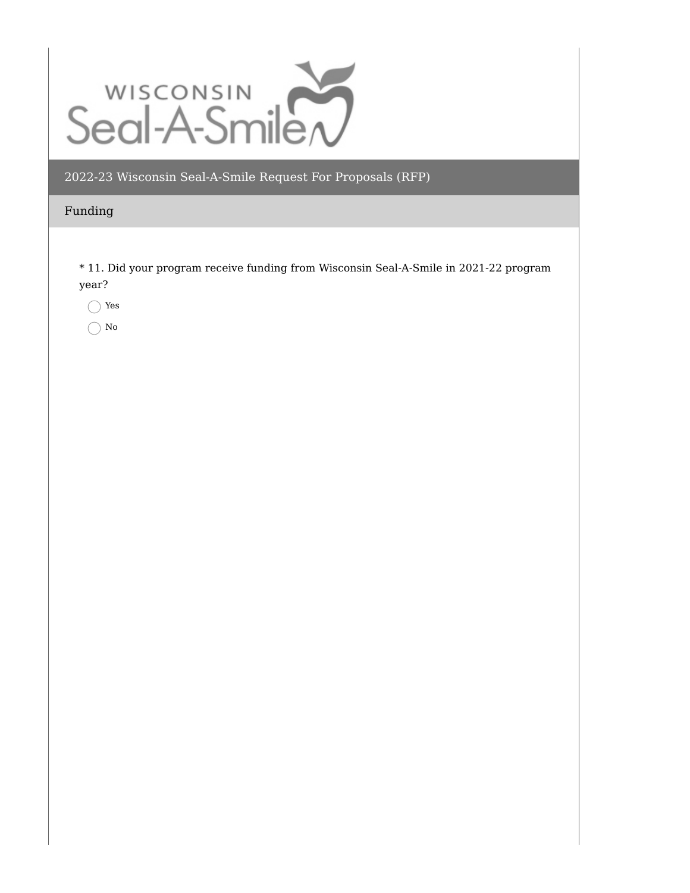# Seal-A-Smile

2022-23 Wisconsin Seal-A-Smile Request For Proposals (RFP)

### Funding

\* 11. Did your program receive funding from Wisconsin Seal-A-Smile in 2021-22 program year?

Yes

 $\bigcirc$  No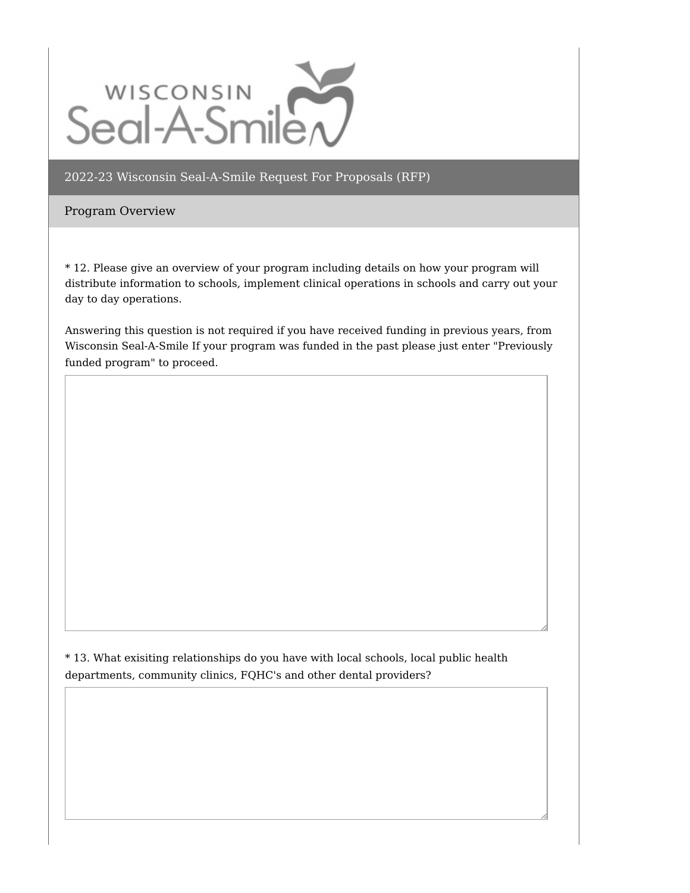2022-23 Wisconsin Seal-A-Smile Request For Proposals (RFP)

### Program Overview

\* 12. Please give an overview of your program including details on how your program will distribute information to schools, implement clinical operations in schools and carry out your day to day operations.

Answering this question is not required if you have received funding in previous years, from Wisconsin Seal-A-Smile If your program was funded in the past please just enter "Previously funded program" to proceed.

\* 13. What exisiting relationships do you have with local schools, local public health departments, community clinics, FQHC's and other dental providers?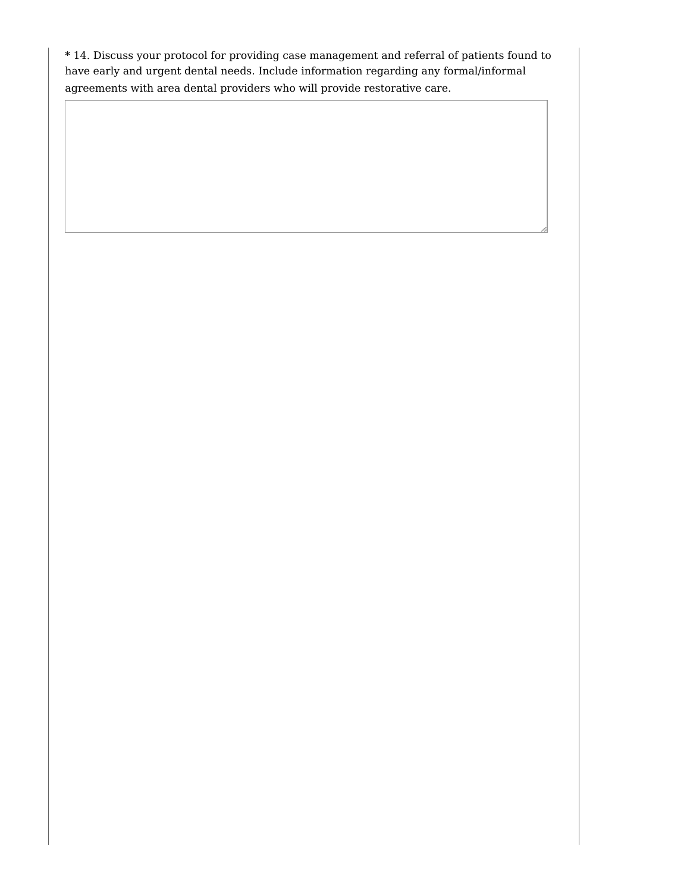\* 14. Discuss your protocol for providing case management and referral of patients found to have early and urgent dental needs. Include information regarding any formal/informal agreements with area dental providers who will provide restorative care.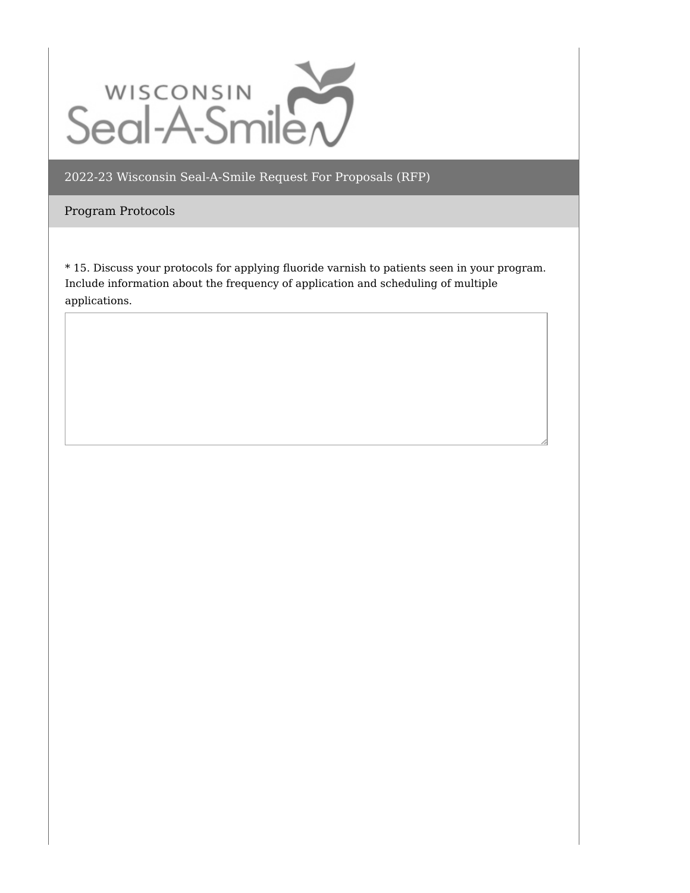## Seal-A-Smile

2022-23 Wisconsin Seal-A-Smile Request For Proposals (RFP)

Program Protocols

\* 15. Discuss your protocols for applying fluoride varnish to patients seen in your program. Include information about the frequency of application and scheduling of multiple applications.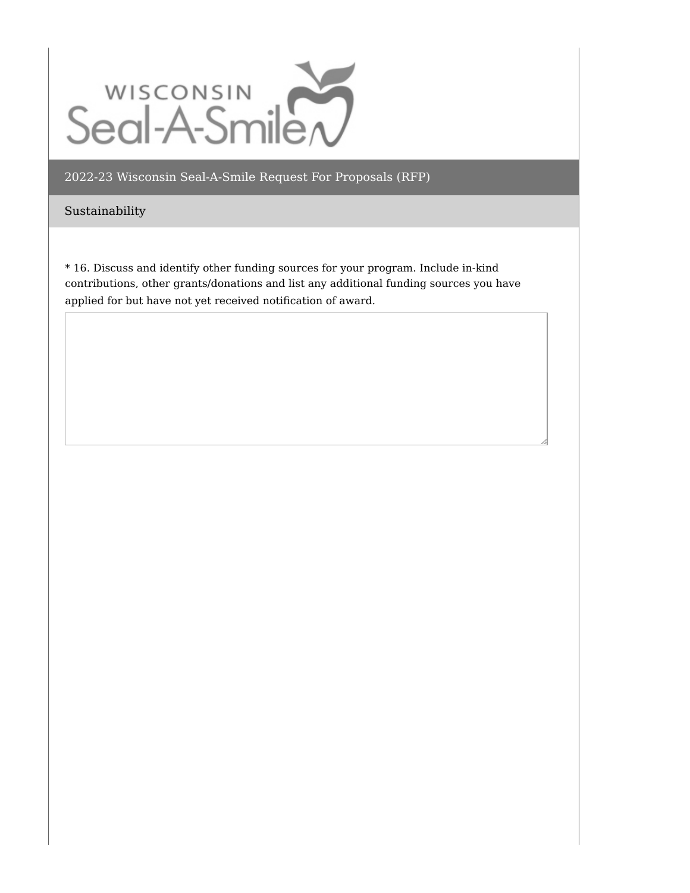## Seal-A-Smile

2022-23 Wisconsin Seal-A-Smile Request For Proposals (RFP)

Sustainability

\* 16. Discuss and identify other funding sources for your program. Include in-kind contributions, other grants/donations and list any additional funding sources you have applied for but have not yet received notification of award.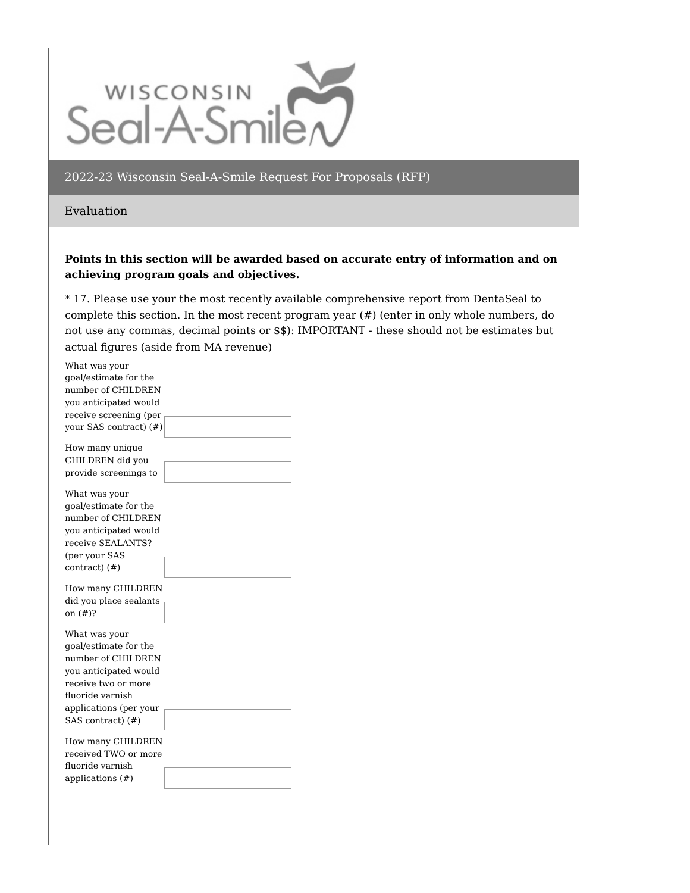## WISCONSIN

2022-23 Wisconsin Seal-A-Smile Request For Proposals (RFP)

Evaluation

### **Points in this section will be awarded based on accurate entry of information and on achieving program goals and objectives.**

\* 17. Please use your the most recently available comprehensive report from DentaSeal to complete this section. In the most recent program year (#) (enter in only whole numbers, do not use any commas, decimal points or \$\$): IMPORTANT - these should not be estimates but actual figures (aside from MA revenue)

| What was your<br>goal/estimate for the<br>number of CHILDREN<br>you anticipated would<br>receive screening (per<br>your SAS contract) (#)                                       |  |
|---------------------------------------------------------------------------------------------------------------------------------------------------------------------------------|--|
| How many unique<br>CHILDREN did you<br>provide screenings to                                                                                                                    |  |
| What was your<br>goal/estimate for the<br>number of CHILDREN<br>you anticipated would<br>receive SEALANTS?<br>(per your SAS<br>control (#)                                      |  |
| How many CHILDREN<br>did you place sealants<br>on $(\#)$ ?                                                                                                                      |  |
| What was your<br>goal/estimate for the<br>number of CHILDREN<br>you anticipated would<br>receive two or more<br>fluoride varnish<br>applications (per your<br>SAS contract) (#) |  |
| How many CHILDREN<br>received TWO or more<br>fluoride varnish<br>applications $(#)$                                                                                             |  |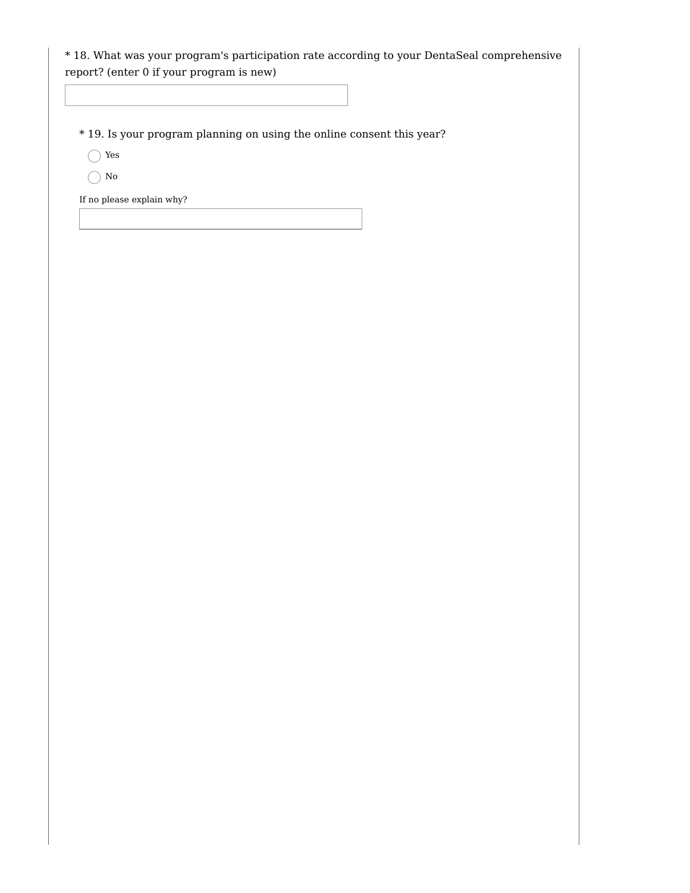\* 18. What was your program's participation rate according to your DentaSeal comprehensive report? (enter 0 if your program is new)

\* 19. Is your program planning on using the online consent this year?

Yes

No

If no please explain why?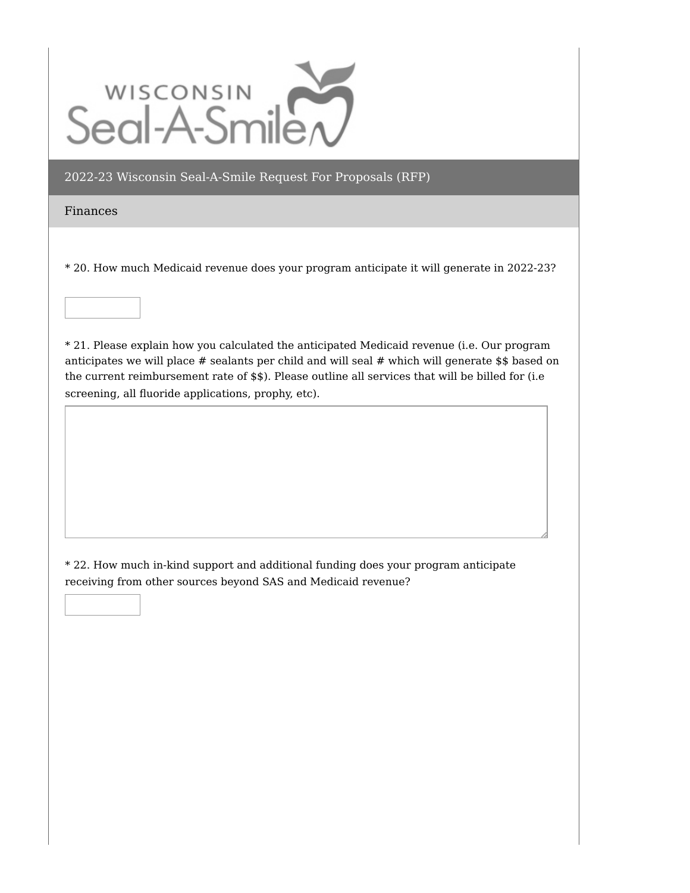2022-23 Wisconsin Seal-A-Smile Request For Proposals (RFP)

### Finances

\* 20. How much Medicaid revenue does your program anticipate it will generate in 2022-23?

\* 21. Please explain how you calculated the anticipated Medicaid revenue (i.e. Our program anticipates we will place  $#$  sealants per child and will seal  $#$  which will generate \$ based on the current reimbursement rate of \$\$). Please outline all services that will be billed for (i.e screening, all fluoride applications, prophy, etc).

\* 22. How much in-kind support and additional funding does your program anticipate receiving from other sources beyond SAS and Medicaid revenue?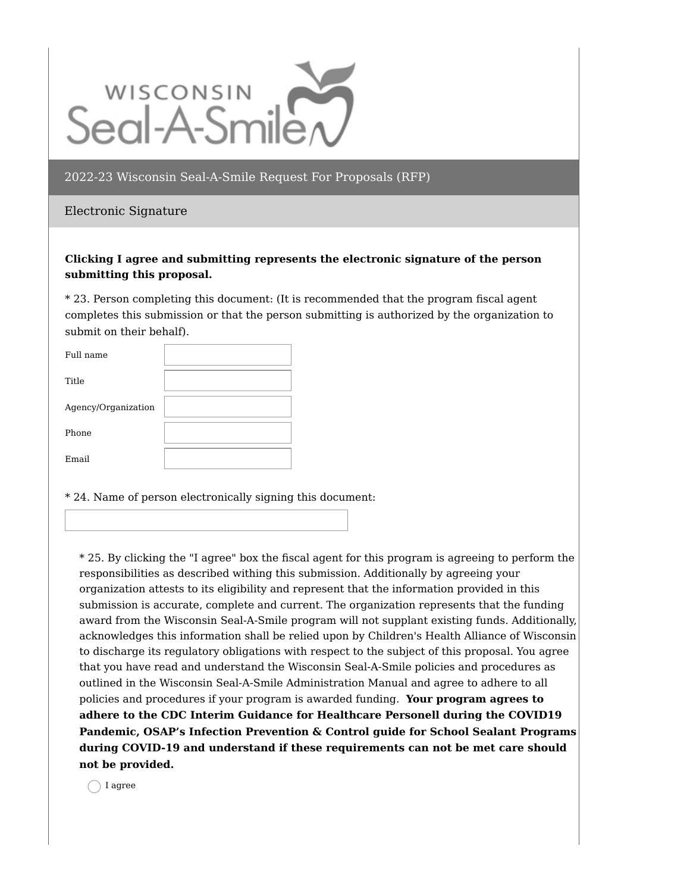2022-23 Wisconsin Seal-A-Smile Request For Proposals (RFP)

Electronic Signature

### **Clicking I agree and submitting represents the electronic signature of the person submitting this proposal.**

\* 23. Person completing this document: (It is recommended that the program fiscal agent completes this submission or that the person submitting is authorized by the organization to submit on their behalf).

| Full name           |  |
|---------------------|--|
| Title               |  |
| Agency/Organization |  |
| Phone               |  |
| Email               |  |

\* 24. Name of person electronically signing this document:

\* 25. By clicking the "I agree" box the fiscal agent for this program is agreeing to perform the responsibilities as described withing this submission. Additionally by agreeing your organization attests to its eligibility and represent that the information provided in this submission is accurate, complete and current. The organization represents that the funding award from the Wisconsin Seal-A-Smile program will not supplant existing funds. Additionally, acknowledges this information shall be relied upon by Children's Health Alliance of Wisconsin to discharge its regulatory obligations with respect to the subject of this proposal. You agree that you have read and understand the Wisconsin Seal-A-Smile policies and procedures as outlined in the Wisconsin Seal-A-Smile Administration Manual and agree to adhere to all policies and procedures if your program is awarded funding. **Your program agrees to adhere to the CDC Interim Guidance for Healthcare Personell during the COVID19 Pandemic, OSAP's Infection Prevention & Control guide for School Sealant Programs during COVID-19 and understand if these requirements can not be met care should not be provided.**

I agree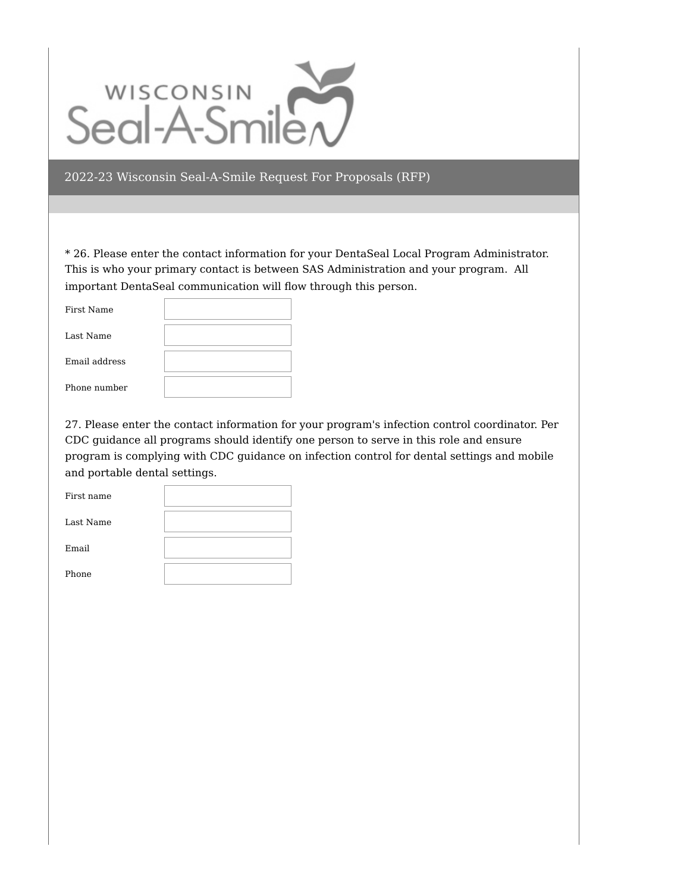2022-23 Wisconsin Seal-A-Smile Request For Proposals (RFP)

\* 26. Please enter the contact information for your DentaSeal Local Program Administrator. This is who your primary contact is between SAS Administration and your program. All important DentaSeal communication will flow through this person.

| First Name    |  |
|---------------|--|
| Last Name     |  |
| Email address |  |
| Phone number  |  |

27. Please enter the contact information for your program's infection control coordinator. Per CDC guidance all programs should identify one person to serve in this role and ensure program is complying with CDC guidance on infection control for dental settings and mobile and portable dental settings.

| First name |  |
|------------|--|
| Last Name  |  |
| Email      |  |
| Phone      |  |